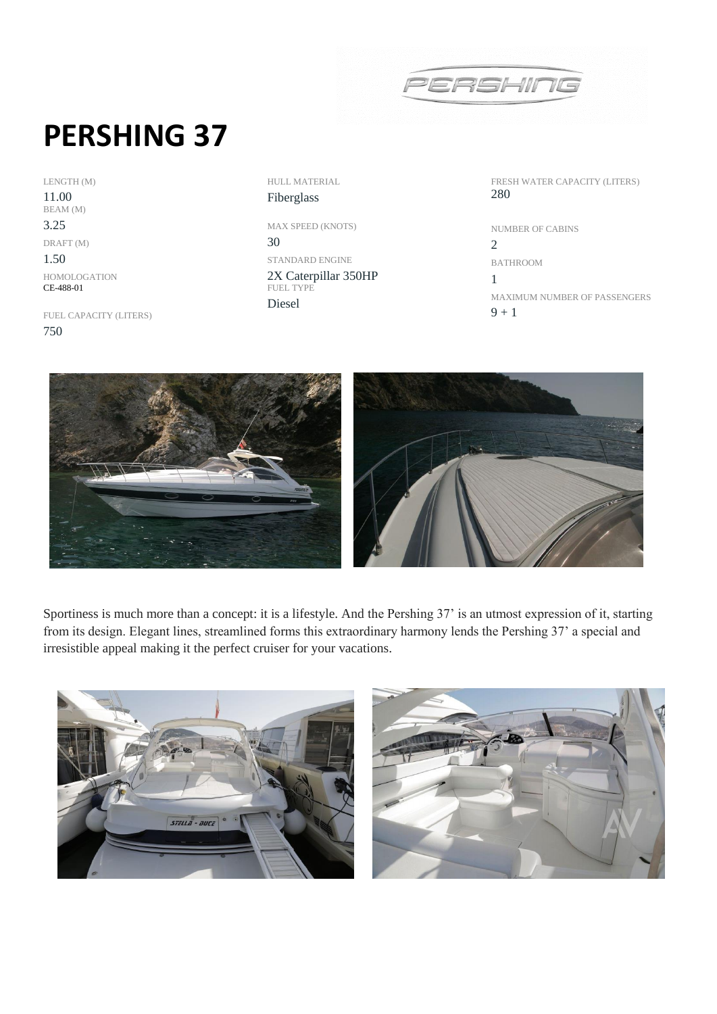

## **PERSHING 37**

LENGTH (M) 11.00 BEAM (M) 3.25 DRAFT (M) 1.50

HOMOLOGATION CE-488-01

FUEL CAPACITY (LITERS) 750

HULL MATERIAL Fiberglass

MAX SPEED (KNOTS) 30 STANDARD ENGINE 2X Caterpillar 350HP FUEL TYPE Diesel

FRESH WATER CAPACITY (LITERS) 280

NUMBER OF CABINS 2 BATHROOM 1 MAXIMUM NUMBER OF PASSENGERS  $9 + 1$ 



Sportiness is much more than a concept: it is a lifestyle. And the Pershing 37' is an utmost expression of it, starting from its design. Elegant lines, streamlined forms this extraordinary harmony lends the Pershing 37' a special and irresistible appeal making it the perfect cruiser for your vacations.



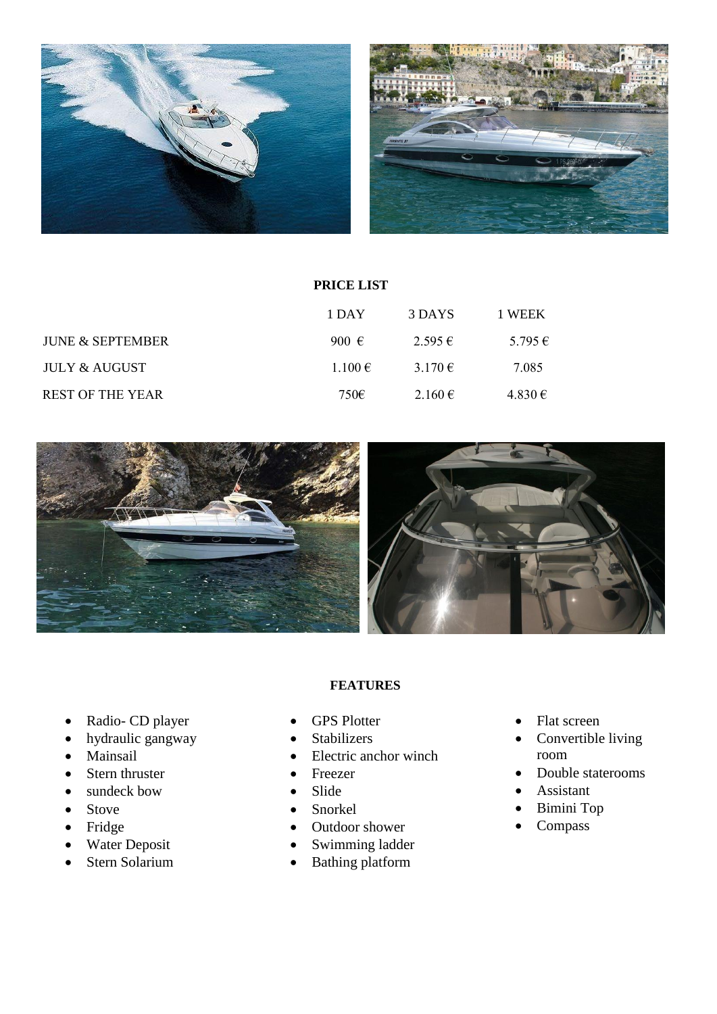

|                             | PRICE LIST     |             |         |  |
|-----------------------------|----------------|-------------|---------|--|
|                             | 1 DAY          | 3 DAYS      | 1 WEEK  |  |
| <b>JUNE &amp; SEPTEMBER</b> | 900 $\epsilon$ | 2.595€      | 5.795 € |  |
| JULY & AUGUST               | $1.100 \in$    | 3.170 $\in$ | 7.085   |  |
| <b>REST OF THE YEAR</b>     | 750€           | 2.160€      | 4.830€  |  |



## **FEATURES**

- Radio- CD player
- hydraulic gangway
- Mainsail
- Stern thruster
- sundeck bow
- Stove
- Fridge
- Water Deposit
- Stern Solarium
- GPS Plotter
- Stabilizers
- Electric anchor winch
- Freezer
- Slide
- Snorkel
- Outdoor shower
- Swimming ladder
- Bathing platform
- Flat screen
- Convertible living room
- Double staterooms
- Assistant
- Bimini Top
- Compass